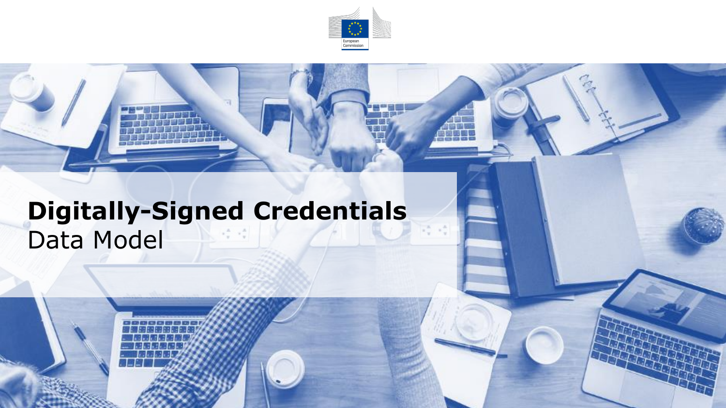

## **Digitally-Signed Credentials** Data Model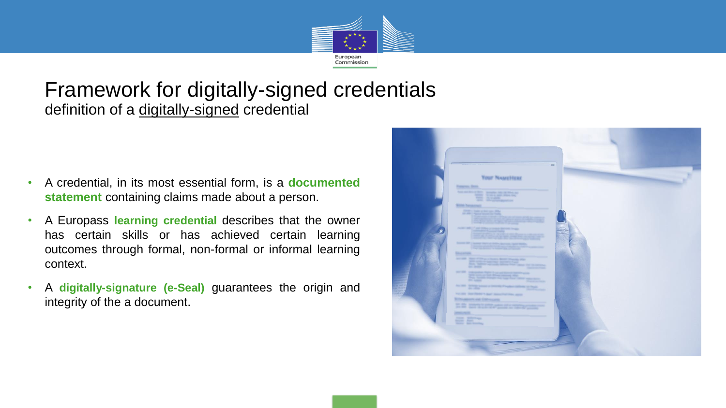

## Framework for digitally-signed credentials definition of a digitally-signed credential

- A credential, in its most essential form, is a **documented statement** containing claims made about a person.
- A Europass **learning credential** describes that the owner has certain skills or has achieved certain learning outcomes through formal, non-formal or informal learning context.
- A **digitally-signature (e-Seal)** guarantees the origin and integrity of the a document.

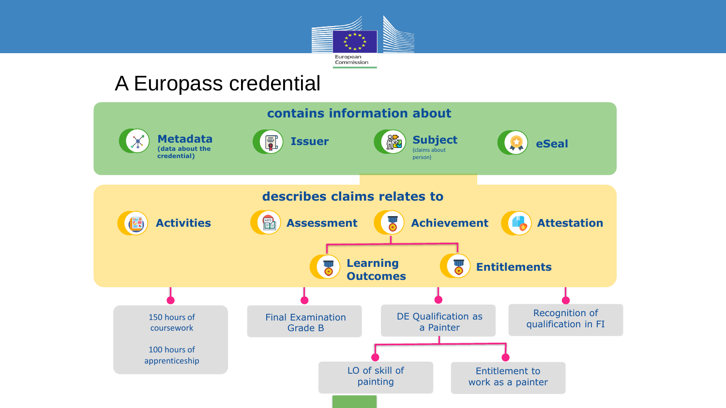

## A Europass credential

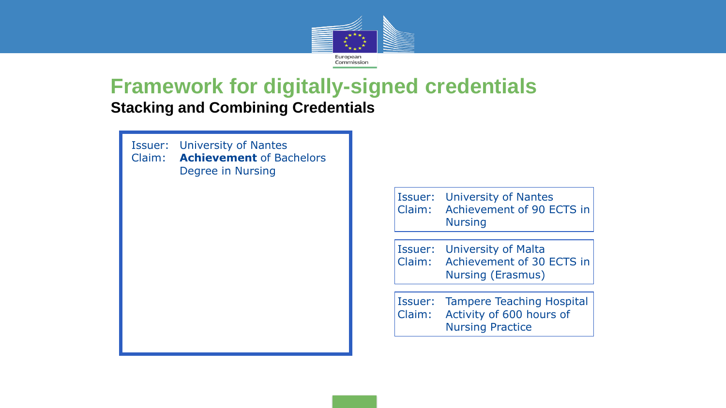

## **Framework for digitally-signed credentials**

**Stacking and Combining Credentials**



Issuer: University of Nantes Claim: Achievement of 90 ECTS in Nursing

Issuer: University of Malta Claim: Achievement of 30 ECTS in Nursing (Erasmus)

Issuer: Tampere Teaching Hospital Claim: Activity of 600 hours of Nursing Practice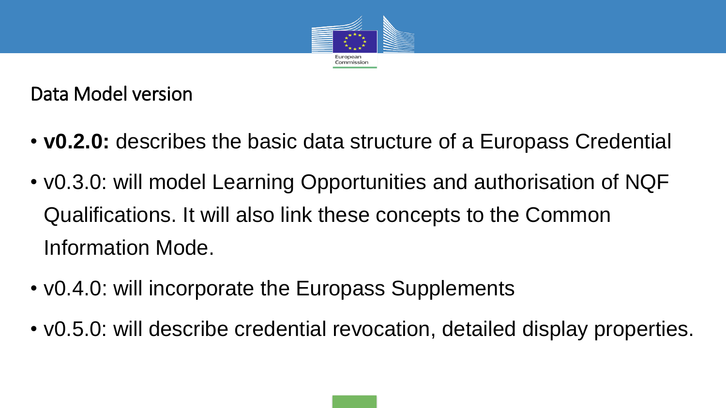

Data Model version

- **v0.2.0:** describes the basic data structure of a Europass Credential
- v0.3.0: will model Learning Opportunities and authorisation of NQF Qualifications. It will also link these concepts to the Common Information Mode.
- v0.4.0: will incorporate the Europass Supplements
- v0.5.0: will describe credential revocation, detailed display properties.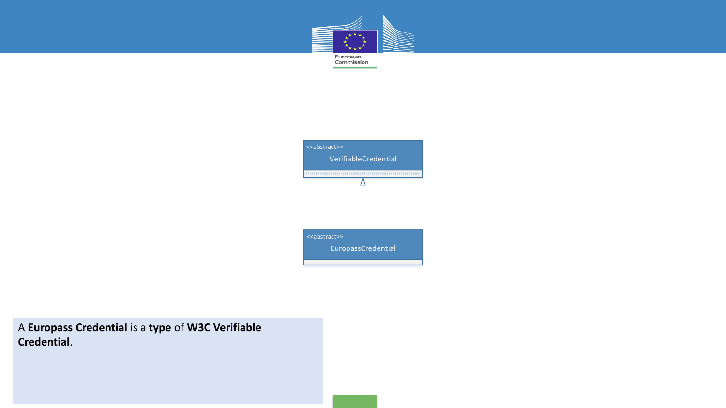



A **Europass Credential** is a **type** of **W3C Verifiable Credential**.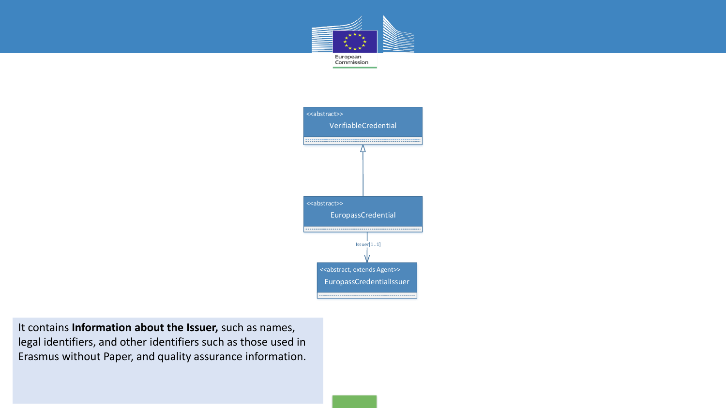



It contains **Information about the Issuer,** such as names, legal identifiers, and other identifiers such as those used in Erasmus without Paper, and quality assurance information.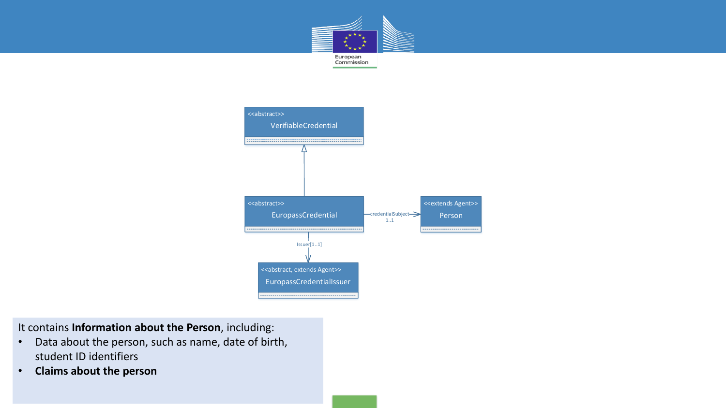



It contains **Information about the Person**, including:

- Data about the person, such as name, date of birth, student ID identifiers
- **Claims about the person**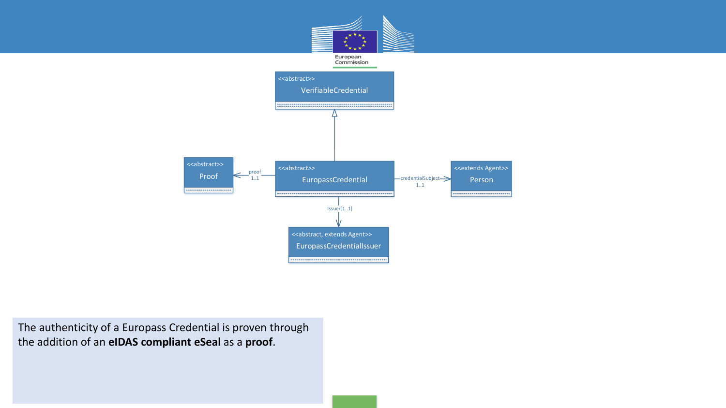

The authenticity of a Europass Credential is proven through the addition of an **eIDAS compliant eSeal** as a **proof**.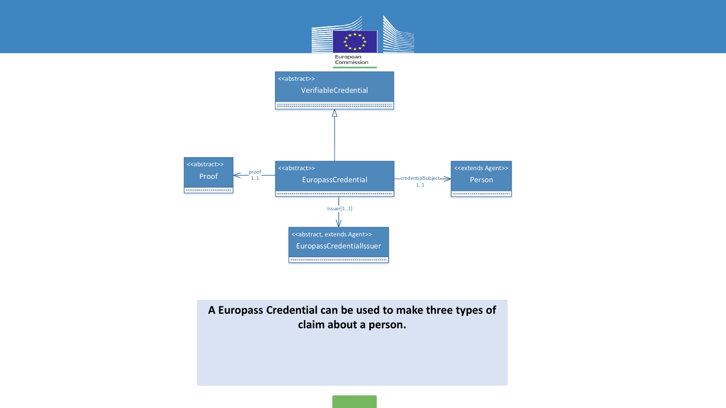

**A Europass Credential can be used to make three types of claim about a person.**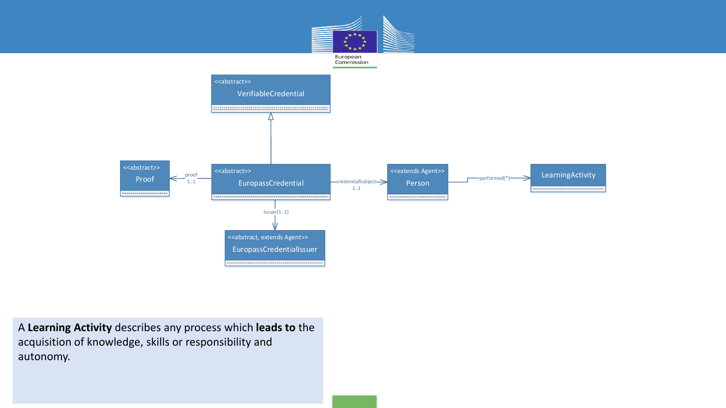





A **Learning Activity** describes any process which **leads to** the acquisition of knowledge, skills or responsibility and autonomy.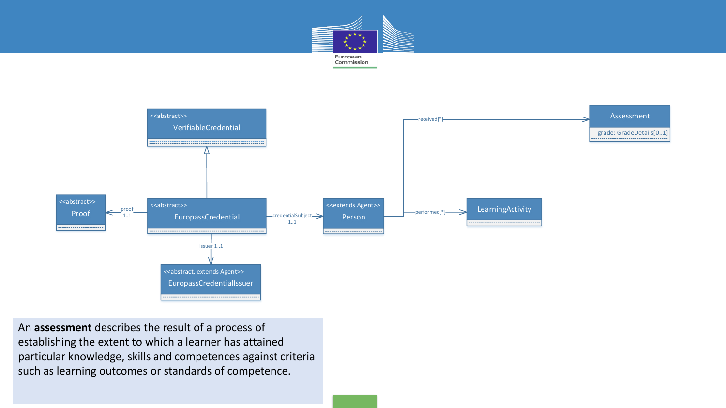



An **assessment** describes the result of a process of establishing the extent to which a learner has attained particular knowledge, skills and competences against criteria such as learning outcomes or standards of competence.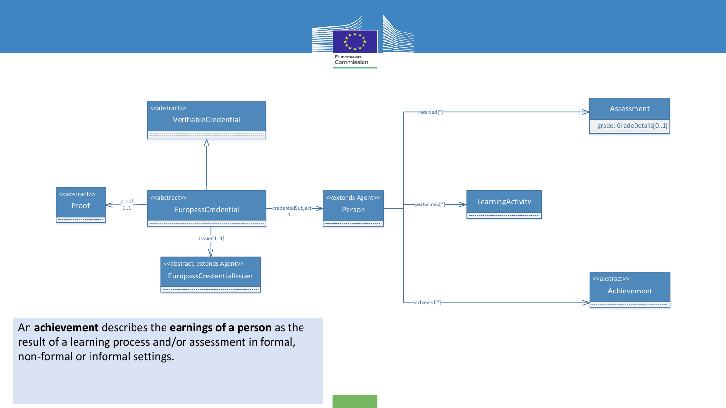



An **achievement** describes the **earnings of a person** as the result of a learning process and/or assessment in formal, non-formal or informal settings.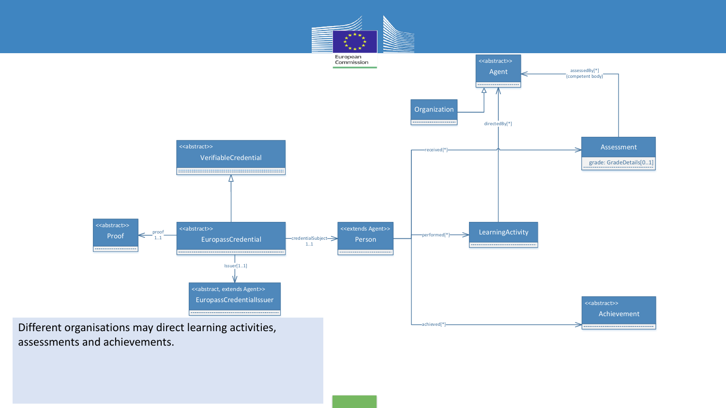

assessments and achievements.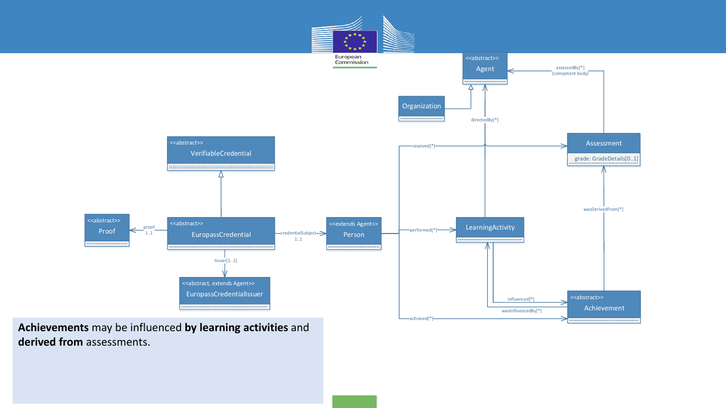

**Achievements** may be influenced **by learning activities** and **derived from** assessments.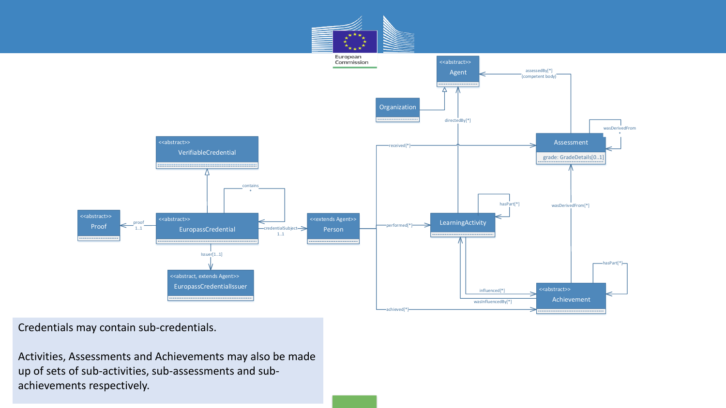

Credentials may contain sub-credentials.

Activities, Assessments and Achievements may also be made up of sets of sub-activities, sub-assessments and subachievements respectively.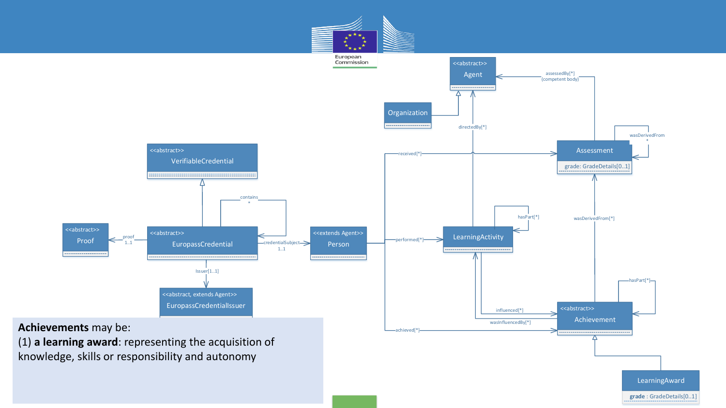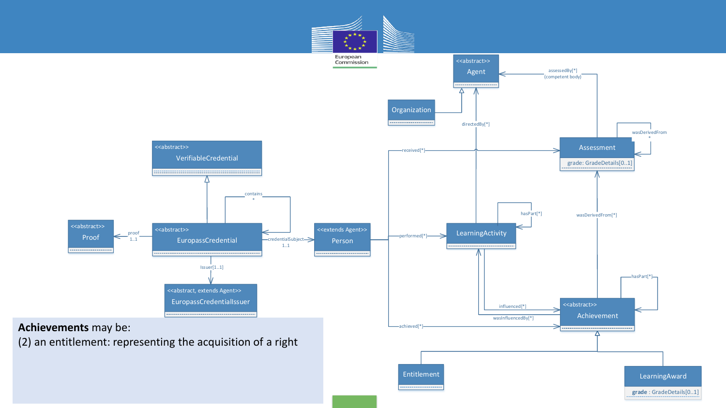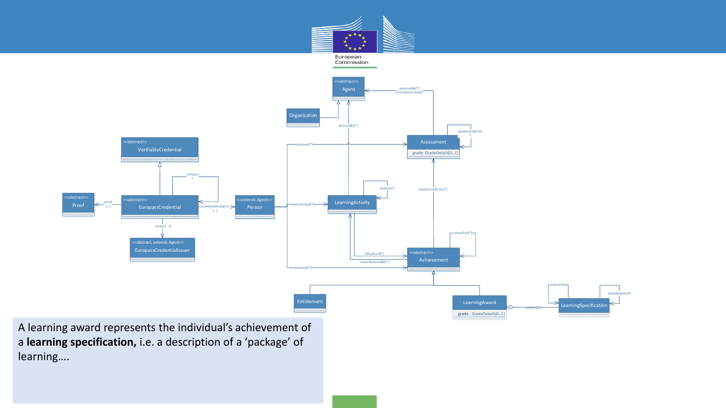

A learning award represents the individual's achievement of a **learning specification,** i.e. a description of a 'package' of learning….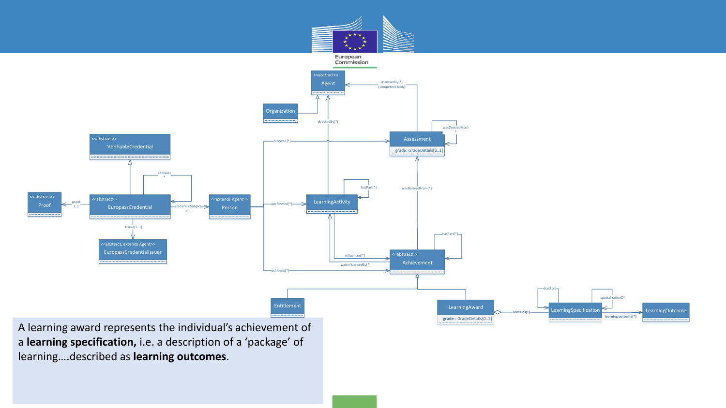

learning….described as **learning outcomes**.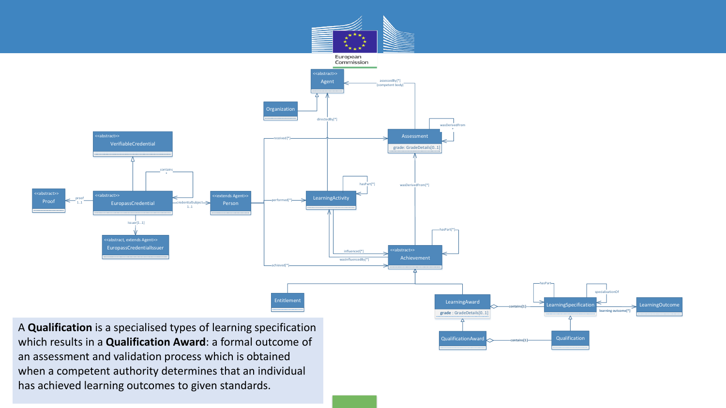

QualificationAward **Qualification** Qualification

A **Qualification** is a specialised types of learning specification which results in a **Qualification Award**: a formal outcome of an assessment and validation process which is obtained when a competent authority determines that an individual has achieved learning outcomes to given standards.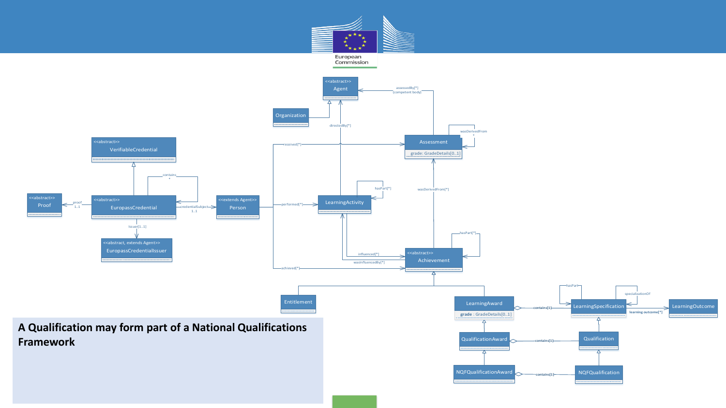